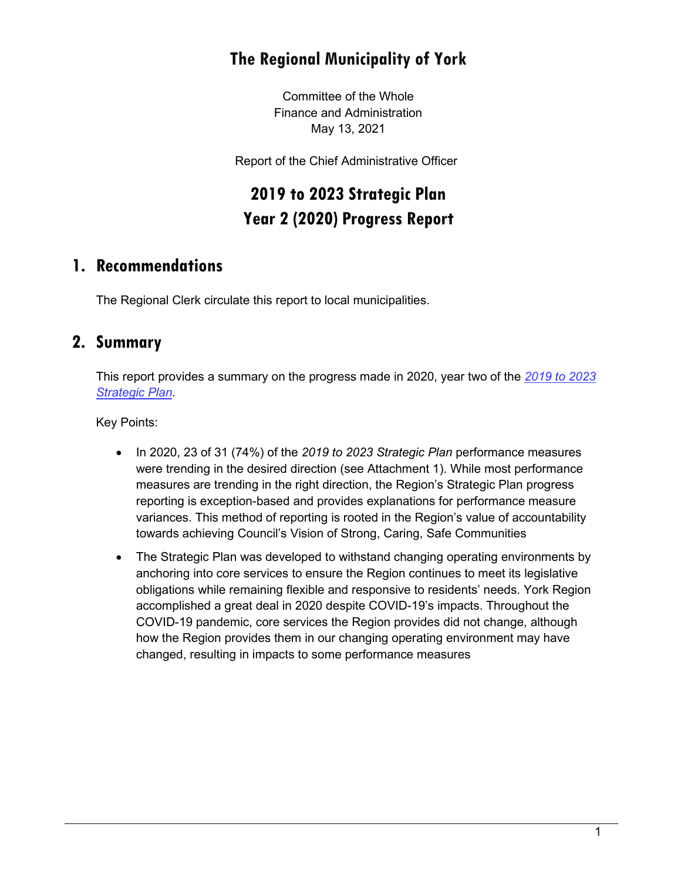# **The Regional Municipality of York**

Committee of the Whole Finance and Administration May 13, 2021

Report of the Chief Administrative Officer

# **2019 to 2023 Strategic Plan Year 2 (2020) Progress Report**

# **1. Recommendations**

The Regional Clerk circulate this report to local municipalities.

### **2. Summary**

This report provides a summary on the progress made in 2020, year two of the *[2019 to 2023](https://www.york.ca/wps/wcm/connect/yorkpublic/e9612765-7323-40bf-904c-715cd0c21d6b/18453_CorporateStrategicPlan-Approved.pdf?MOD=AJPERES&CVID=mLVOUvn)  [Strategic Plan.](https://www.york.ca/wps/wcm/connect/yorkpublic/e9612765-7323-40bf-904c-715cd0c21d6b/18453_CorporateStrategicPlan-Approved.pdf?MOD=AJPERES&CVID=mLVOUvn)*

Key Points:

- In 2020, 23 of 31 (74%) of the *2019 to 2023 Strategic Plan* performance measures were trending in the desired direction (see Attachment 1). While most performance measures are trending in the right direction, the Region's Strategic Plan progress reporting is exception-based and provides explanations for performance measure variances. This method of reporting is rooted in the Region's value of accountability towards achieving Council's Vision of Strong, Caring, Safe Communities
- The Strategic Plan was developed to withstand changing operating environments by anchoring into core services to ensure the Region continues to meet its legislative obligations while remaining flexible and responsive to residents' needs. York Region accomplished a great deal in 2020 despite COVID-19's impacts. Throughout the COVID-19 pandemic, core services the Region provides did not change, although how the Region provides them in our changing operating environment may have changed, resulting in impacts to some performance measures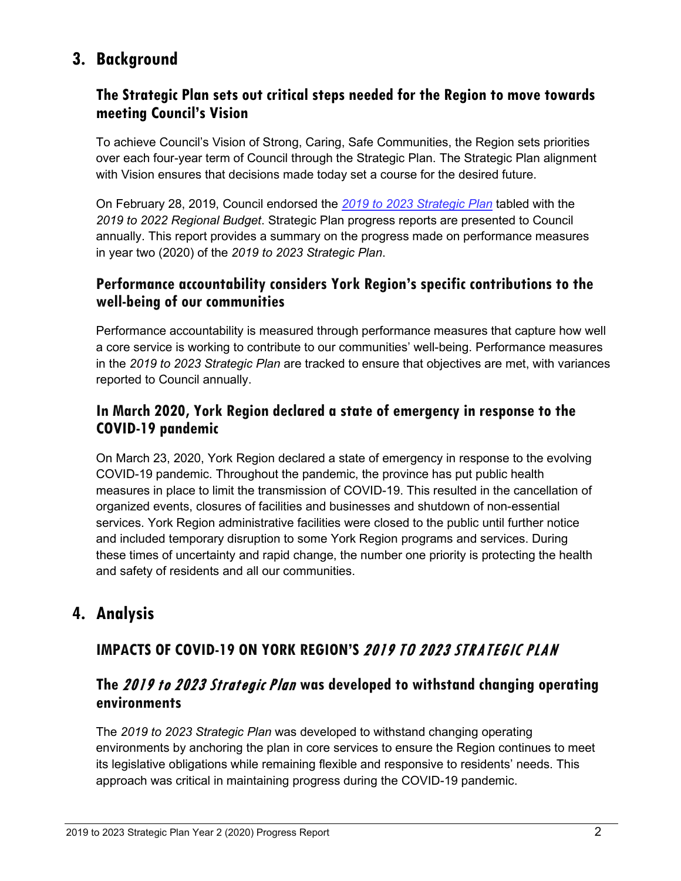# **3. Background**

### **The Strategic Plan sets out critical steps needed for the Region to move towards meeting Council's Vision**

To achieve Council's Vision of Strong, Caring, Safe Communities, the Region sets priorities over each four-year term of Council through the Strategic Plan. The Strategic Plan alignment with Vision ensures that decisions made today set a course for the desired future.

On February 28, 2019, Council endorsed the *[2019 to 2023 Strategic Plan](https://www.york.ca/wps/wcm/connect/yorkpublic/e9612765-7323-40bf-904c-715cd0c21d6b/18453_CorporateStrategicPlan-Approved.pdf?MOD=AJPERES&CVID=mLVOUvn)* tabled with the *2019 to 2022 Regional Budget*. Strategic Plan progress reports are presented to Council annually. This report provides a summary on the progress made on performance measures in year two (2020) of the *2019 to 2023 Strategic Plan*.

### **Performance accountability considers York Region's specific contributions to the well-being of our communities**

Performance accountability is measured through performance measures that capture how well a core service is working to contribute to our communities' well-being. Performance measures in the *2019 to 2023 Strategic Plan* are tracked to ensure that objectives are met, with variances reported to Council annually.

### **In March 2020, York Region declared a state of emergency in response to the COVID-19 pandemic**

On March 23, 2020, York Region declared a state of emergency in response to the evolving COVID-19 pandemic. Throughout the pandemic, the province has put public health measures in place to limit the transmission of COVID-19. This resulted in the cancellation of organized events, closures of facilities and businesses and shutdown of non-essential services. York Region administrative facilities were closed to the public until further notice and included temporary disruption to some York Region programs and services. During these times of uncertainty and rapid change, the number one priority is protecting the health and safety of residents and all our communities.

# **4. Analysis**

# **IMPACTS OF COVID-19 ON YORK REGION'S** 2019 TO 2023 STRATEGIC PLAN

### **The** 2019 to 2023 Strategic Plan **was developed to withstand changing operating environments**

The *2019 to 2023 Strategic Plan* was developed to withstand changing operating environments by anchoring the plan in core services to ensure the Region continues to meet its legislative obligations while remaining flexible and responsive to residents' needs. This approach was critical in maintaining progress during the COVID-19 pandemic.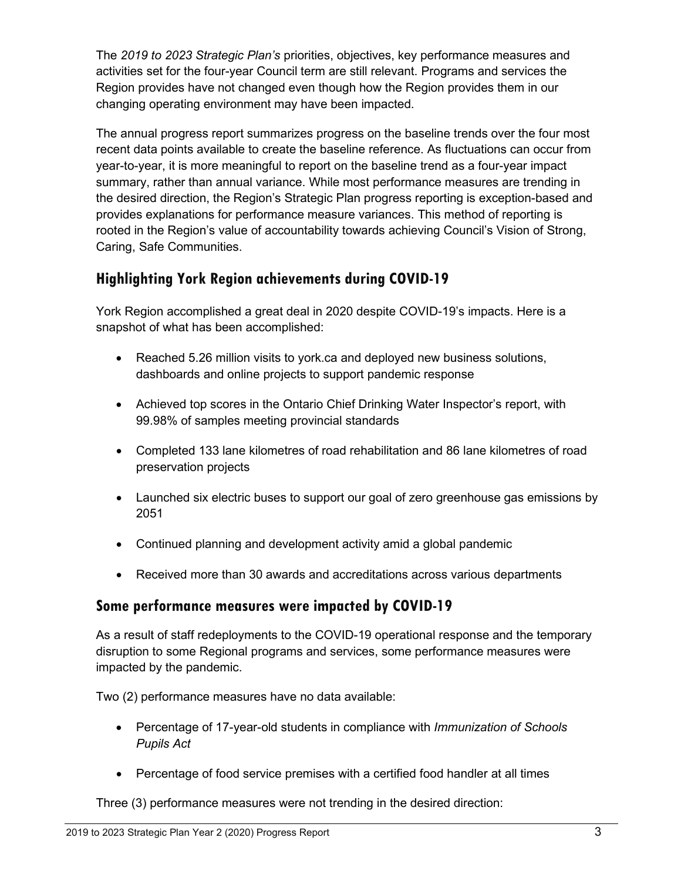The *2019 to 2023 Strategic Plan's* priorities, objectives, key performance measures and activities set for the four-year Council term are still relevant. Programs and services the Region provides have not changed even though how the Region provides them in our changing operating environment may have been impacted.

The annual progress report summarizes progress on the baseline trends over the four most recent data points available to create the baseline reference. As fluctuations can occur from year-to-year, it is more meaningful to report on the baseline trend as a four-year impact summary, rather than annual variance. While most performance measures are trending in the desired direction, the Region's Strategic Plan progress reporting is exception-based and provides explanations for performance measure variances. This method of reporting is rooted in the Region's value of accountability towards achieving Council's Vision of Strong, Caring, Safe Communities.

### **Highlighting York Region achievements during COVID-19**

York Region accomplished a great deal in 2020 despite COVID-19's impacts. Here is a snapshot of what has been accomplished:

- Reached 5.26 million visits to york.ca and deployed new business solutions, dashboards and online projects to support pandemic response
- Achieved top scores in the Ontario Chief Drinking Water Inspector's report, with 99.98% of samples meeting provincial standards
- Completed 133 lane kilometres of road rehabilitation and 86 lane kilometres of road preservation projects
- Launched six electric buses to support our goal of zero greenhouse gas emissions by 2051
- Continued planning and development activity amid a global pandemic
- Received more than 30 awards and accreditations across various departments

### **Some performance measures were impacted by COVID-19**

As a result of staff redeployments to the COVID-19 operational response and the temporary disruption to some Regional programs and services, some performance measures were impacted by the pandemic.

Two (2) performance measures have no data available:

- Percentage of 17-year-old students in compliance with *Immunization of Schools Pupils Act*
- Percentage of food service premises with a certified food handler at all times

Three (3) performance measures were not trending in the desired direction: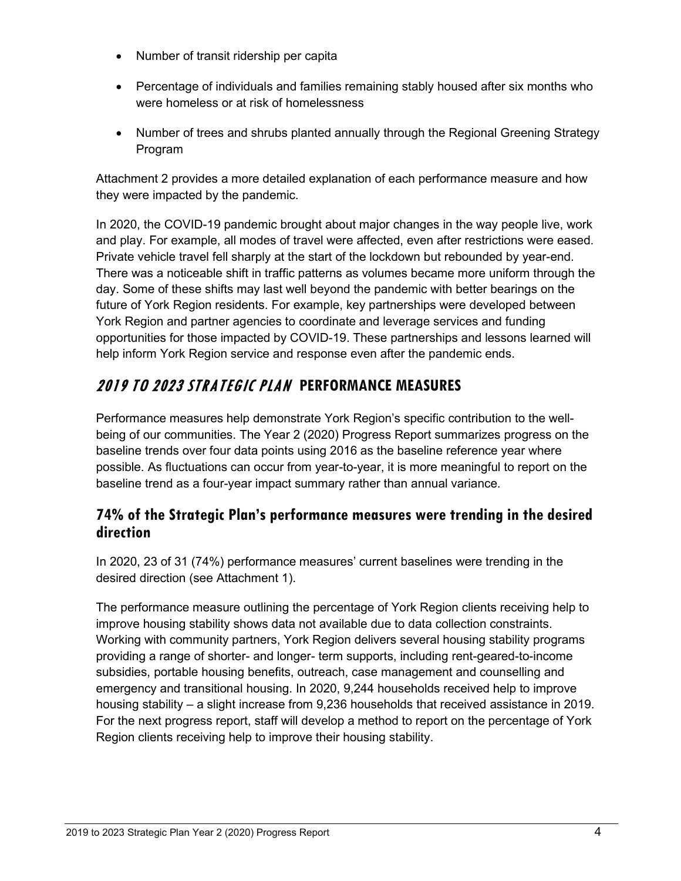- Number of transit ridership per capita
- Percentage of individuals and families remaining stably housed after six months who were homeless or at risk of homelessness
- Number of trees and shrubs planted annually through the Regional Greening Strategy Program

Attachment 2 provides a more detailed explanation of each performance measure and how they were impacted by the pandemic.

In 2020, the COVID-19 pandemic brought about major changes in the way people live, work and play. For example, all modes of travel were affected, even after restrictions were eased. Private vehicle travel fell sharply at the start of the lockdown but rebounded by year-end. There was a noticeable shift in traffic patterns as volumes became more uniform through the day. Some of these shifts may last well beyond the pandemic with better bearings on the future of York Region residents. For example, key partnerships were developed between York Region and partner agencies to coordinate and leverage services and funding opportunities for those impacted by COVID-19. These partnerships and lessons learned will help inform York Region service and response even after the pandemic ends.

# 2019 TO 2023 STRATEGIC PLAN **PERFORMANCE MEASURES**

Performance measures help demonstrate York Region's specific contribution to the wellbeing of our communities. The Year 2 (2020) Progress Report summarizes progress on the baseline trends over four data points using 2016 as the baseline reference year where possible. As fluctuations can occur from year-to-year, it is more meaningful to report on the baseline trend as a four-year impact summary rather than annual variance.

### **74% of the Strategic Plan's performance measures were trending in the desired direction**

In 2020, 23 of 31 (74%) performance measures' current baselines were trending in the desired direction (see Attachment 1).

The performance measure outlining the percentage of York Region clients receiving help to improve housing stability shows data not available due to data collection constraints. Working with community partners, York Region delivers several housing stability programs providing a range of shorter- and longer- term supports, including rent-geared-to-income subsidies, portable housing benefits, outreach, case management and counselling and emergency and transitional housing. In 2020, 9,244 households received help to improve housing stability – a slight increase from 9,236 households that received assistance in 2019. For the next progress report, staff will develop a method to report on the percentage of York Region clients receiving help to improve their housing stability.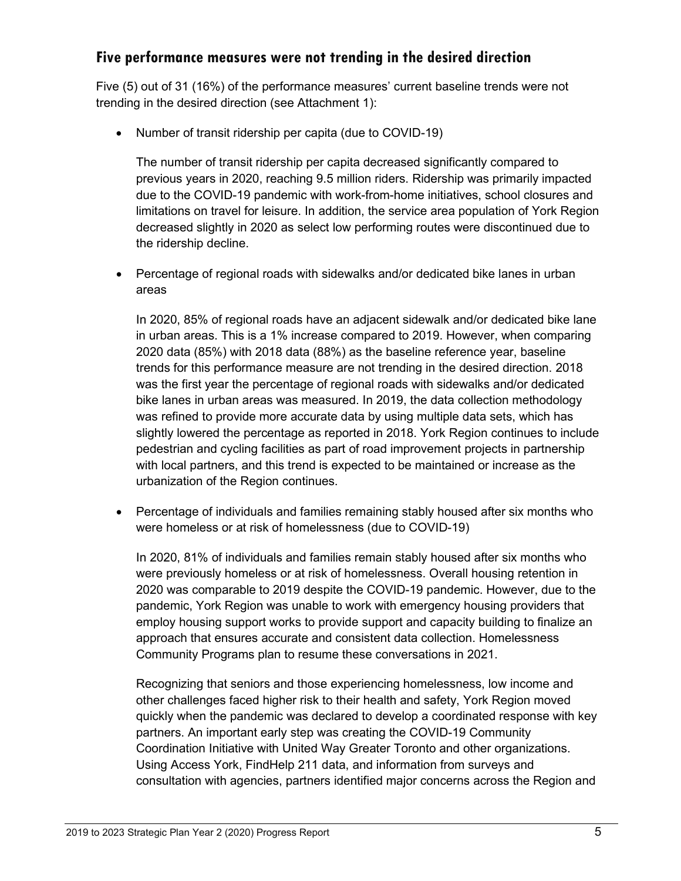### **Five performance measures were not trending in the desired direction**

Five (5) out of 31 (16%) of the performance measures' current baseline trends were not trending in the desired direction (see Attachment 1):

• Number of transit ridership per capita (due to COVID-19)

The number of transit ridership per capita decreased significantly compared to previous years in 2020, reaching 9.5 million riders. Ridership was primarily impacted due to the COVID-19 pandemic with work-from-home initiatives, school closures and limitations on travel for leisure. In addition, the service area population of York Region decreased slightly in 2020 as select low performing routes were discontinued due to the ridership decline.

• Percentage of regional roads with sidewalks and/or dedicated bike lanes in urban areas

In 2020, 85% of regional roads have an adjacent sidewalk and/or dedicated bike lane in urban areas. This is a 1% increase compared to 2019. However, when comparing 2020 data (85%) with 2018 data (88%) as the baseline reference year, baseline trends for this performance measure are not trending in the desired direction. 2018 was the first year the percentage of regional roads with sidewalks and/or dedicated bike lanes in urban areas was measured. In 2019, the data collection methodology was refined to provide more accurate data by using multiple data sets, which has slightly lowered the percentage as reported in 2018. York Region continues to include pedestrian and cycling facilities as part of road improvement projects in partnership with local partners, and this trend is expected to be maintained or increase as the urbanization of the Region continues.

• Percentage of individuals and families remaining stably housed after six months who were homeless or at risk of homelessness (due to COVID-19)

In 2020, 81% of individuals and families remain stably housed after six months who were previously homeless or at risk of homelessness. Overall housing retention in 2020 was comparable to 2019 despite the COVID-19 pandemic. However, due to the pandemic, York Region was unable to work with emergency housing providers that employ housing support works to provide support and capacity building to finalize an approach that ensures accurate and consistent data collection. Homelessness Community Programs plan to resume these conversations in 2021.

Recognizing that seniors and those experiencing homelessness, low income and other challenges faced higher risk to their health and safety, York Region moved quickly when the pandemic was declared to develop a coordinated response with key partners. An important early step was creating the COVID-19 Community Coordination Initiative with United Way Greater Toronto and other organizations. Using Access York, FindHelp 211 data, and information from surveys and consultation with agencies, partners identified major concerns across the Region and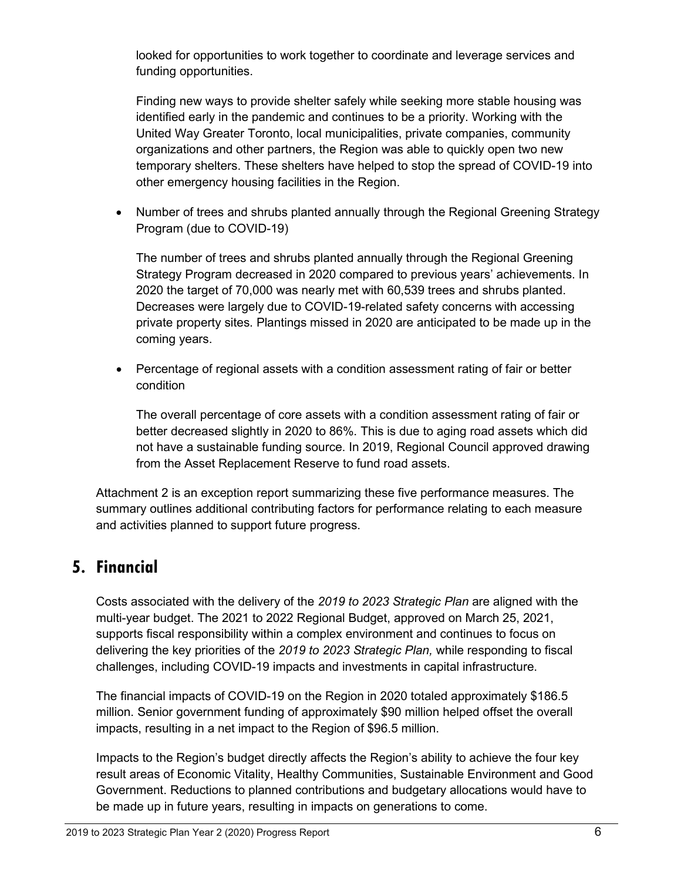looked for opportunities to work together to coordinate and leverage services and funding opportunities.

Finding new ways to provide shelter safely while seeking more stable housing was identified early in the pandemic and continues to be a priority. Working with the United Way Greater Toronto, local municipalities, private companies, community organizations and other partners, the Region was able to quickly open two new temporary shelters. These shelters have helped to stop the spread of COVID-19 into other emergency housing facilities in the Region.

• Number of trees and shrubs planted annually through the Regional Greening Strategy Program (due to COVID-19)

The number of trees and shrubs planted annually through the Regional Greening Strategy Program decreased in 2020 compared to previous years' achievements. In 2020 the target of 70,000 was nearly met with 60,539 trees and shrubs planted. Decreases were largely due to COVID-19-related safety concerns with accessing private property sites. Plantings missed in 2020 are anticipated to be made up in the coming years.

• Percentage of regional assets with a condition assessment rating of fair or better condition

The overall percentage of core assets with a condition assessment rating of fair or better decreased slightly in 2020 to 86%. This is due to aging road assets which did not have a sustainable funding source. In 2019, Regional Council approved drawing from the Asset Replacement Reserve to fund road assets.

Attachment 2 is an exception report summarizing these five performance measures. The summary outlines additional contributing factors for performance relating to each measure and activities planned to support future progress.

# **5. Financial**

Costs associated with the delivery of the *2019 to 2023 Strategic Plan* are aligned with the multi-year budget. The 2021 to 2022 Regional Budget, approved on March 25, 2021, supports fiscal responsibility within a complex environment and continues to focus on delivering the key priorities of the *2019 to 2023 Strategic Plan,* while responding to fiscal challenges, including COVID-19 impacts and investments in capital infrastructure.

The financial impacts of COVID-19 on the Region in 2020 totaled approximately \$186.5 million. Senior government funding of approximately \$90 million helped offset the overall impacts, resulting in a net impact to the Region of \$96.5 million.

Impacts to the Region's budget directly affects the Region's ability to achieve the four key result areas of Economic Vitality, Healthy Communities, Sustainable Environment and Good Government. Reductions to planned contributions and budgetary allocations would have to be made up in future years, resulting in impacts on generations to come.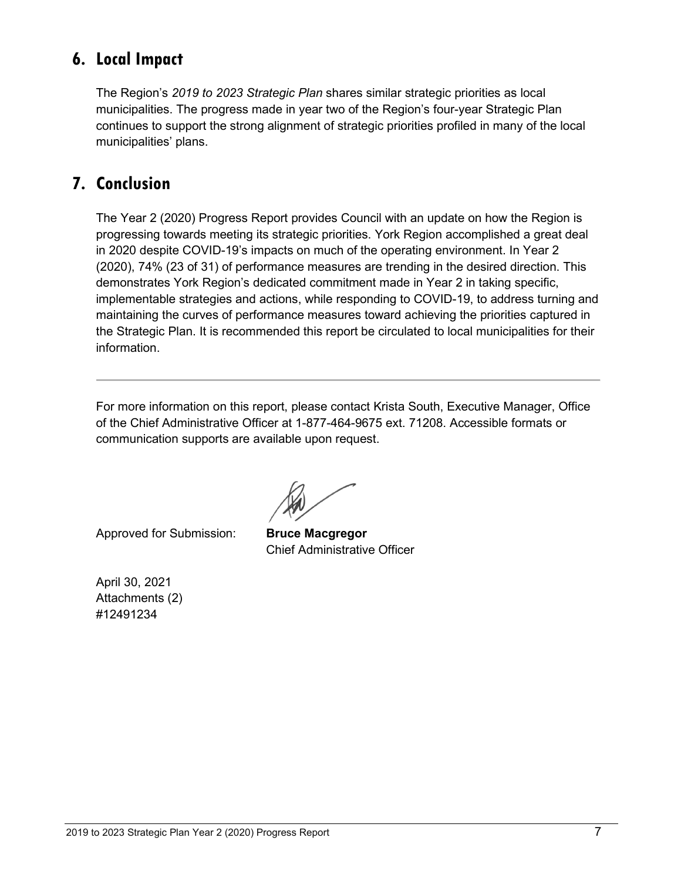# **6. Local Impact**

The Region's *2019 to 2023 Strategic Plan* shares similar strategic priorities as local municipalities. The progress made in year two of the Region's four-year Strategic Plan continues to support the strong alignment of strategic priorities profiled in many of the local municipalities' plans.

# **7. Conclusion**

The Year 2 (2020) Progress Report provides Council with an update on how the Region is progressing towards meeting its strategic priorities. York Region accomplished a great deal in 2020 despite COVID-19's impacts on much of the operating environment. In Year 2 (2020), 74% (23 of 31) of performance measures are trending in the desired direction. This demonstrates York Region's dedicated commitment made in Year 2 in taking specific, implementable strategies and actions, while responding to COVID-19, to address turning and maintaining the curves of performance measures toward achieving the priorities captured in the Strategic Plan. It is recommended this report be circulated to local municipalities for their information.

For more information on this report, please contact Krista South, Executive Manager, Office of the Chief Administrative Officer at 1-877-464-9675 ext. 71208. Accessible formats or communication supports are available upon request.

Approved for Submission: **Bruce Macgregor**

Chief Administrative Officer

April 30, 2021 Attachments (2) #12491234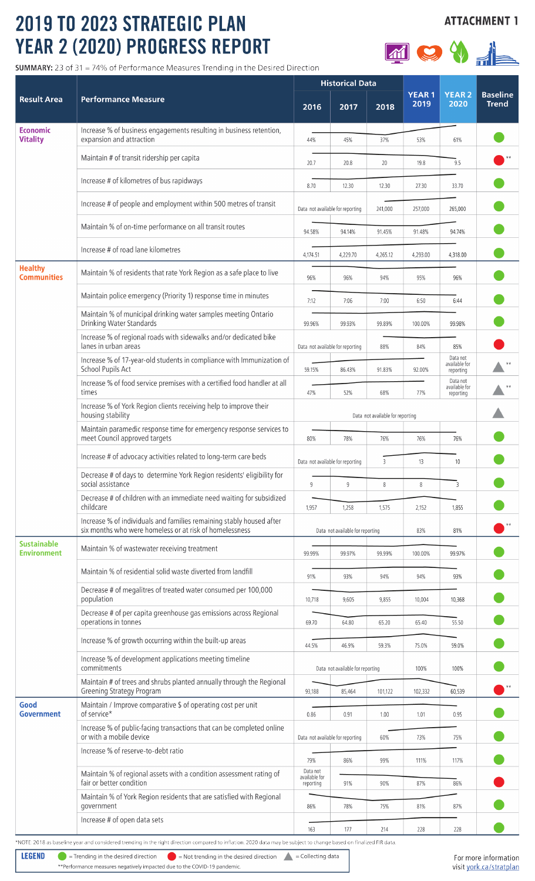# 2019 TO 2023 STRATEGIC PLAN YEAR 2 (2020) PROGRESS REPO

**Result Area** 

**Economic** 

**Vitality** 

**SUMMARY:** 23 of 31 = 74% of Performance Measures Trending in the

| <b>2023 STRATEGIC PLAN</b><br>2020) PROGRESS REPORT                                             |          |                                  |          |                      |                      | <b>ATTACHMENT 1</b>             |
|-------------------------------------------------------------------------------------------------|----------|----------------------------------|----------|----------------------|----------------------|---------------------------------|
| 1 = 74% of Performance Measures Trending in the Desired Direction                               |          |                                  |          |                      |                      |                                 |
| <b>Performance Measure</b>                                                                      | 2016     | <b>Historical Data</b><br>2017   | 2018     | <b>YEAR1</b><br>2019 | <b>YEAR2</b><br>2020 | <b>Baseline</b><br><b>Trend</b> |
| Increase % of business engagements resulting in business retention,<br>expansion and attraction | 44%      | 45%                              | 37%      | 53%                  | 61%                  |                                 |
| Maintain # of transit ridership per capita                                                      | 20.7     | 20.8                             | 20       | 19.8                 | 9.5                  |                                 |
| Increase # of kilometres of bus rapidways                                                       | 8.70     | 12.30                            | 12.30    | 27.30                | 33.70                |                                 |
| Increase # of people and employment within 500 metres of transit                                |          | Data not available for reporting | 241,000  | 257,000              | 265,000              |                                 |
| Maintain % of on-time performance on all transit routes                                         | 94.58%   | 94.14%                           | 91.45%   | 91.48%               | 94.74%               |                                 |
| Increase # of road lane kilometres                                                              | 4,174.51 | 4,229.70                         | 4,265.12 | 4,293.00             | 4,318.00             |                                 |
| Maintain % of residents that rate York Region as a safe place to live                           | 96%      | 96%                              | 94%      | 95%                  | 96%                  |                                 |
| Maintain police emergency (Priority 1) response time in minutes                                 | 7:12     | 7:06                             | 7:00     | 6:50                 | 6:44                 |                                 |
| Maintain % of municipal drinking water samples meeting Ontario<br>Drinking Water Standards      | 9996%    | 99 93%                           | 99 89%   | 100,00%              | 99 98%               |                                 |

|                                                                                                                                                                    | Maintain # of transit ridership per capita                                                                                      | 20.7                                   | 20.8                             | 20                               | 19.8     | 9.5                                    |  |  |  |
|--------------------------------------------------------------------------------------------------------------------------------------------------------------------|---------------------------------------------------------------------------------------------------------------------------------|----------------------------------------|----------------------------------|----------------------------------|----------|----------------------------------------|--|--|--|
|                                                                                                                                                                    | Increase # of kilometres of bus rapidways                                                                                       | 8.70                                   | 12.30                            | 12.30                            | 27.30    | 33.70                                  |  |  |  |
|                                                                                                                                                                    | Increase # of people and employment within 500 metres of transit                                                                | Data not available for reporting       |                                  | 241,000                          | 257,000  | 265,000                                |  |  |  |
|                                                                                                                                                                    | Maintain % of on-time performance on all transit routes                                                                         | 94.58%                                 | 94.14%                           | 91.45%                           | 91.48%   | 94.74%                                 |  |  |  |
|                                                                                                                                                                    | Increase # of road lane kilometres                                                                                              | 4,174.51                               | 4,229.70                         | 4,265.12                         | 4,293.00 | 4,318.00                               |  |  |  |
| <b>Healthy</b><br><b>Communities</b>                                                                                                                               | Maintain % of residents that rate York Region as a safe place to live                                                           | 96%                                    | 96%                              | 94%                              | 95%      | 96%                                    |  |  |  |
|                                                                                                                                                                    | Maintain police emergency (Priority 1) response time in minutes                                                                 | 7:12                                   | 7:06                             | 7:00                             | 6:50     | 6:44                                   |  |  |  |
|                                                                                                                                                                    | Maintain % of municipal drinking water samples meeting Ontario<br>Drinking Water Standards                                      | 99.96%                                 | 99.93%                           | 99.89%                           | 100.00%  | 99.98%                                 |  |  |  |
|                                                                                                                                                                    | Increase % of regional roads with sidewalks and/or dedicated bike<br>lanes in urban areas                                       | Data not available for reporting       |                                  | 88%                              | 84%      | 85%                                    |  |  |  |
|                                                                                                                                                                    | Increase % of 17-year-old students in compliance with Immunization of<br>School Pupils Act                                      |                                        | 86.43%                           | 91.83%                           | 92.00%   | Data not<br>available for<br>reporting |  |  |  |
|                                                                                                                                                                    | Increase % of food service premises with a certified food handler at all<br>times                                               | 47%                                    | 52%                              | 68%                              | 77%      | Data not<br>available for<br>reporting |  |  |  |
|                                                                                                                                                                    | Increase % of York Region clients receiving help to improve their<br>housing stability                                          |                                        |                                  | Data not available for reporting |          |                                        |  |  |  |
|                                                                                                                                                                    | Maintain paramedic response time for emergency response services to<br>meet Council approved targets                            |                                        | 78%                              | 76%                              | 76%      | 76%                                    |  |  |  |
|                                                                                                                                                                    | Increase # of advocacy activities related to long-term care beds                                                                | Data not available for reporting       |                                  | 3                                | 13       | 10                                     |  |  |  |
|                                                                                                                                                                    | Decrease # of days to determine York Region residents' eligibility for<br>social assistance                                     | 9                                      | 9                                | 8                                | 8        | 3                                      |  |  |  |
|                                                                                                                                                                    | Decrease # of children with an immediate need waiting for subsidized<br>childcare                                               | 1,957                                  | 1,258                            | 1,575                            | 2,152    | 1,855                                  |  |  |  |
|                                                                                                                                                                    | Increase % of individuals and families remaining stably housed after<br>six months who were homeless or at risk of homelessness | Data not available for reporting       |                                  |                                  | 83%      | 81%                                    |  |  |  |
| <b>Sustainable</b><br><b>Environment</b>                                                                                                                           | Maintain % of wastewater receiving treatment                                                                                    |                                        | 99.97%                           | 99.99%                           | 100.00%  | 99.97%                                 |  |  |  |
|                                                                                                                                                                    | Maintain % of residential solid waste diverted from landfill                                                                    | 91%                                    | 93%                              | 94%                              | 94%      | 93%                                    |  |  |  |
|                                                                                                                                                                    | Decrease # of megalitres of treated water consumed per 100,000<br>population                                                    | 10,718                                 | 9,605                            | 9,855                            | 10,004   | 10,368                                 |  |  |  |
|                                                                                                                                                                    | Decrease # of per capita greenhouse gas emissions across Regional<br>operations in tonnes                                       | 69.70                                  | 64.80                            | 65.20                            | 65.40    | 55.50                                  |  |  |  |
|                                                                                                                                                                    | Increase % of growth occurring within the built-up areas                                                                        | 44.5%                                  | 46.9%                            | 59.3%                            | 75.0%    | 59.0%                                  |  |  |  |
|                                                                                                                                                                    | Increase % of development applications meeting timeline<br>commitments                                                          |                                        | Data not available for reporting |                                  | 100%     | 100%                                   |  |  |  |
|                                                                                                                                                                    | Maintain # of trees and shrubs planted annually through the Regional<br><b>Greening Strategy Program</b>                        |                                        | 85,464                           | 101,122                          | 102,332  | 60,539                                 |  |  |  |
| Good<br><b>Government</b>                                                                                                                                          | Maintain / Improve comparative \$ of operating cost per unit<br>of service*                                                     | 0.86                                   | 0.91                             | 1.00                             | 1.01     | 0.95                                   |  |  |  |
|                                                                                                                                                                    | Increase % of public-facing transactions that can be completed online<br>or with a mobile device                                | Data not available for reporting       |                                  | 60%                              | 73%      | 75%                                    |  |  |  |
|                                                                                                                                                                    | Increase % of reserve-to-debt ratio                                                                                             | 79%                                    | 86%                              | 99%                              | 111%     | 117%                                   |  |  |  |
|                                                                                                                                                                    | Maintain % of regional assets with a condition assessment rating of<br>fair or better condition                                 | Data not<br>available for<br>reporting | 91%                              | 90%                              | 87%      | 86%                                    |  |  |  |
|                                                                                                                                                                    | Maintain % of York Region residents that are satisfied with Regional<br>government                                              | 86%                                    | 78%                              | 75%                              | 81%      | 87%                                    |  |  |  |
|                                                                                                                                                                    | Increase # of open data sets                                                                                                    | 163                                    | 177                              | 214                              | 228      | 228                                    |  |  |  |
| *NOTE: 2018 as baseline year and considered trending in the right direction compared to inflation. 2020 data may be subject to change based on finalized FIR data. |                                                                                                                                 |                                        |                                  |                                  |          |                                        |  |  |  |

**LEGEND**  $\bullet$  = Trending in the desired direction  $\bullet$  = Not trending in the desired direction  $\bullet$  = Collecting data

\*\*Performance measures negatively impacted due to the COVID-19 pandemic.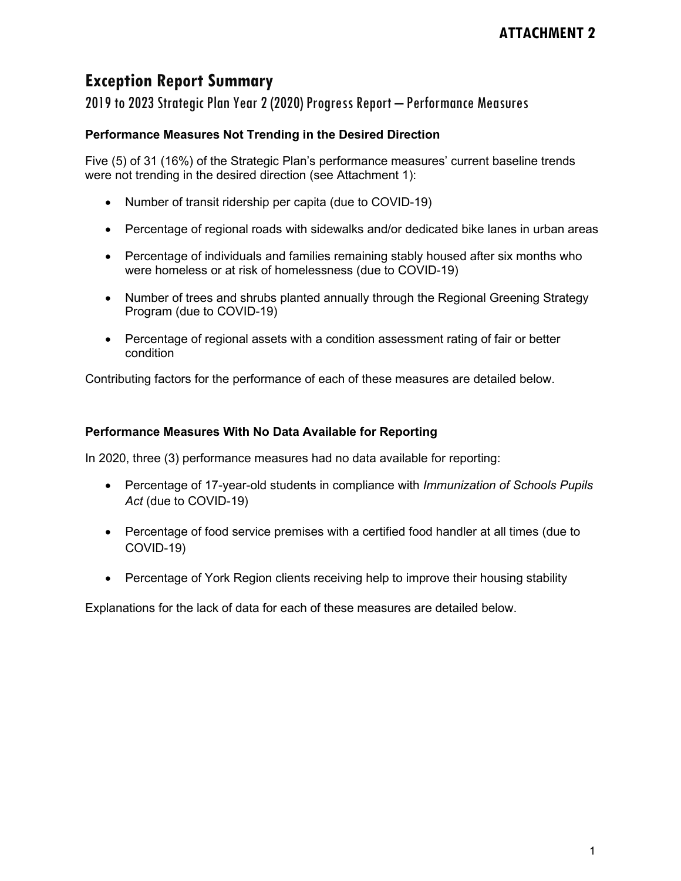# **Exception Report Summary**

2019 to 2023 Strategic Plan Year 2 (2020) Progress Report – Performance Measures

#### **Performance Measures Not Trending in the Desired Direction**

Five (5) of 31 (16%) of the Strategic Plan's performance measures' current baseline trends were not trending in the desired direction (see Attachment 1):

- Number of transit ridership per capita (due to COVID-19)
- Percentage of regional roads with sidewalks and/or dedicated bike lanes in urban areas
- Percentage of individuals and families remaining stably housed after six months who were homeless or at risk of homelessness (due to COVID-19)
- Number of trees and shrubs planted annually through the Regional Greening Strategy Program (due to COVID-19)
- Percentage of regional assets with a condition assessment rating of fair or better condition

Contributing factors for the performance of each of these measures are detailed below.

#### **Performance Measures With No Data Available for Reporting**

In 2020, three (3) performance measures had no data available for reporting:

- Percentage of 17-year-old students in compliance with *Immunization of Schools Pupils Act* (due to COVID-19)
- Percentage of food service premises with a certified food handler at all times (due to COVID-19)
- Percentage of York Region clients receiving help to improve their housing stability

Explanations for the lack of data for each of these measures are detailed below.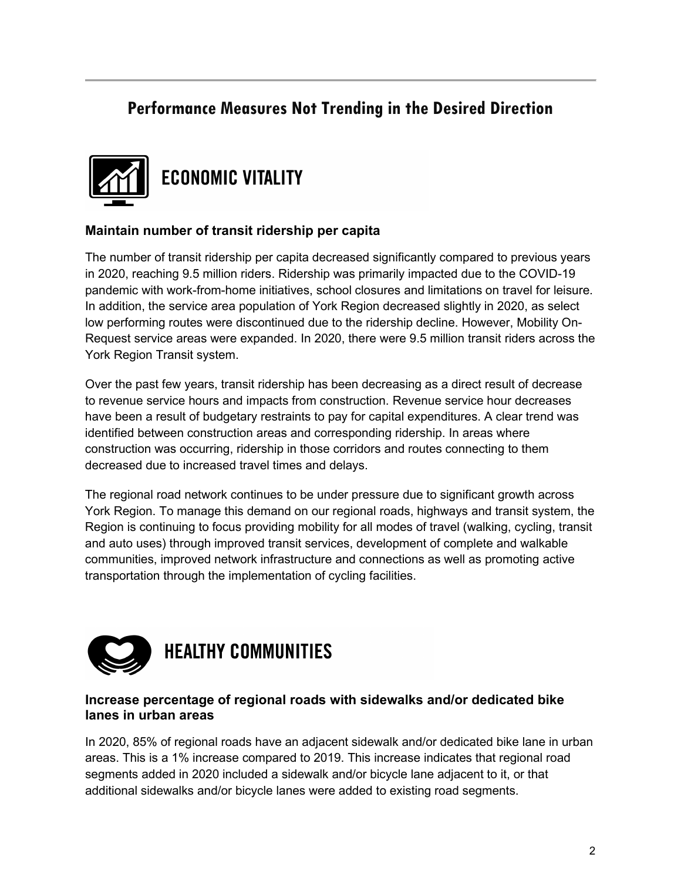# **Performance Measures Not Trending in the Desired Direction**



#### **Maintain number of transit ridership per capita**

The number of transit ridership per capita decreased significantly compared to previous years in 2020, reaching 9.5 million riders. Ridership was primarily impacted due to the COVID-19 pandemic with work-from-home initiatives, school closures and limitations on travel for leisure. In addition, the service area population of York Region decreased slightly in 2020, as select low performing routes were discontinued due to the ridership decline. However, Mobility On-Request service areas were expanded. In 2020, there were 9.5 million transit riders across the York Region Transit system.

Over the past few years, transit ridership has been decreasing as a direct result of decrease to revenue service hours and impacts from construction. Revenue service hour decreases have been a result of budgetary restraints to pay for capital expenditures. A clear trend was identified between construction areas and corresponding ridership. In areas where construction was occurring, ridership in those corridors and routes connecting to them decreased due to increased travel times and delays.

The regional road network continues to be under pressure due to significant growth across York Region. To manage this demand on our regional roads, highways and transit system, the Region is continuing to focus providing mobility for all modes of travel (walking, cycling, transit and auto uses) through improved transit services, development of complete and walkable communities, improved network infrastructure and connections as well as promoting active transportation through the implementation of cycling facilities.



#### **Increase percentage of regional roads with sidewalks and/or dedicated bike lanes in urban areas**

In 2020, 85% of regional roads have an adjacent sidewalk and/or dedicated bike lane in urban areas. This is a 1% increase compared to 2019. This increase indicates that regional road segments added in 2020 included a sidewalk and/or bicycle lane adjacent to it, or that additional sidewalks and/or bicycle lanes were added to existing road segments.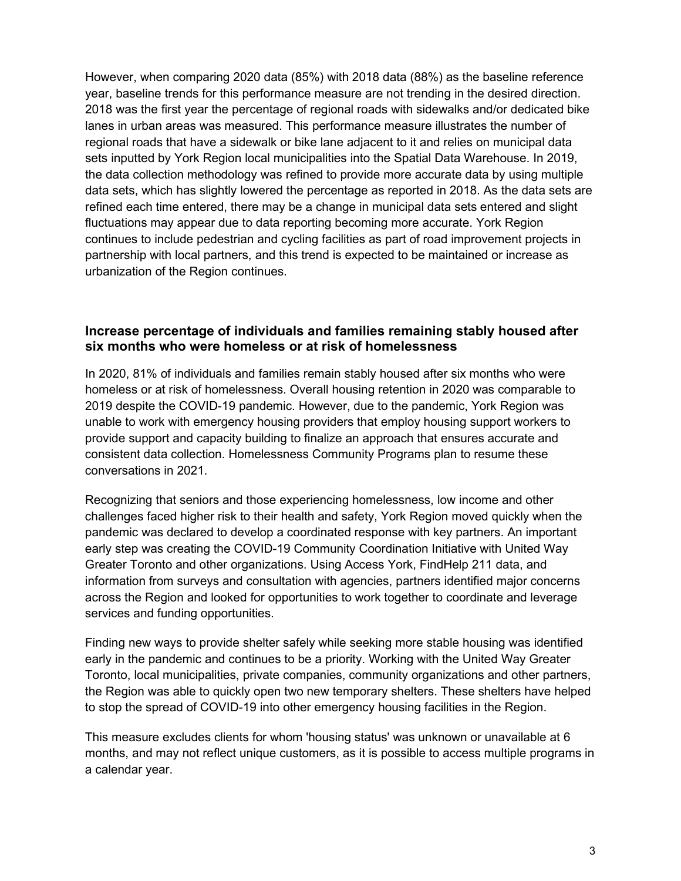However, when comparing 2020 data (85%) with 2018 data (88%) as the baseline reference year, baseline trends for this performance measure are not trending in the desired direction. 2018 was the first year the percentage of regional roads with sidewalks and/or dedicated bike lanes in urban areas was measured. This performance measure illustrates the number of regional roads that have a sidewalk or bike lane adjacent to it and relies on municipal data sets inputted by York Region local municipalities into the Spatial Data Warehouse. In 2019, the data collection methodology was refined to provide more accurate data by using multiple data sets, which has slightly lowered the percentage as reported in 2018. As the data sets are refined each time entered, there may be a change in municipal data sets entered and slight fluctuations may appear due to data reporting becoming more accurate. York Region continues to include pedestrian and cycling facilities as part of road improvement projects in partnership with local partners, and this trend is expected to be maintained or increase as urbanization of the Region continues.

#### **Increase percentage of individuals and families remaining stably housed after six months who were homeless or at risk of homelessness**

In 2020, 81% of individuals and families remain stably housed after six months who were homeless or at risk of homelessness. Overall housing retention in 2020 was comparable to 2019 despite the COVID-19 pandemic. However, due to the pandemic, York Region was unable to work with emergency housing providers that employ housing support workers to provide support and capacity building to finalize an approach that ensures accurate and consistent data collection. Homelessness Community Programs plan to resume these conversations in 2021.

Recognizing that seniors and those experiencing homelessness, low income and other challenges faced higher risk to their health and safety, York Region moved quickly when the pandemic was declared to develop a coordinated response with key partners. An important early step was creating the COVID-19 Community Coordination Initiative with United Way Greater Toronto and other organizations. Using Access York, FindHelp 211 data, and information from surveys and consultation with agencies, partners identified major concerns across the Region and looked for opportunities to work together to coordinate and leverage services and funding opportunities.

Finding new ways to provide shelter safely while seeking more stable housing was identified early in the pandemic and continues to be a priority. Working with the United Way Greater Toronto, local municipalities, private companies, community organizations and other partners, the Region was able to quickly open two new temporary shelters. These shelters have helped to stop the spread of COVID-19 into other emergency housing facilities in the Region.

This measure excludes clients for whom 'housing status' was unknown or unavailable at 6 months, and may not reflect unique customers, as it is possible to access multiple programs in a calendar year.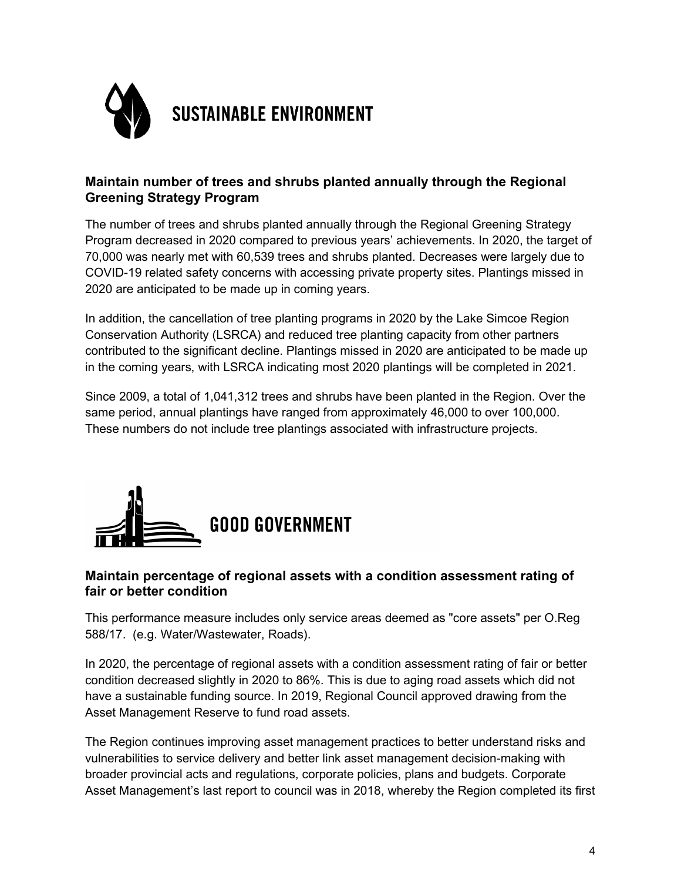

#### **Maintain number of trees and shrubs planted annually through the Regional Greening Strategy Program**

The number of trees and shrubs planted annually through the Regional Greening Strategy Program decreased in 2020 compared to previous years' achievements. In 2020, the target of 70,000 was nearly met with 60,539 trees and shrubs planted. Decreases were largely due to COVID-19 related safety concerns with accessing private property sites. Plantings missed in 2020 are anticipated to be made up in coming years.

In addition, the cancellation of tree planting programs in 2020 by the Lake Simcoe Region Conservation Authority (LSRCA) and reduced tree planting capacity from other partners contributed to the significant decline. Plantings missed in 2020 are anticipated to be made up in the coming years, with LSRCA indicating most 2020 plantings will be completed in 2021.

Since 2009, a total of 1,041,312 trees and shrubs have been planted in the Region. Over the same period, annual plantings have ranged from approximately 46,000 to over 100,000. These numbers do not include tree plantings associated with infrastructure projects.



#### **Maintain percentage of regional assets with a condition assessment rating of fair or better condition**

This performance measure includes only service areas deemed as "core assets" per O.Reg 588/17. (e.g. Water/Wastewater, Roads).

In 2020, the percentage of regional assets with a condition assessment rating of fair or better condition decreased slightly in 2020 to 86%. This is due to aging road assets which did not have a sustainable funding source. In 2019, Regional Council approved drawing from the Asset Management Reserve to fund road assets.

The Region continues improving asset management practices to better understand risks and vulnerabilities to service delivery and better link asset management decision-making with broader provincial acts and regulations, corporate policies, plans and budgets. Corporate Asset Management's last report to council was in 2018, whereby the Region completed its first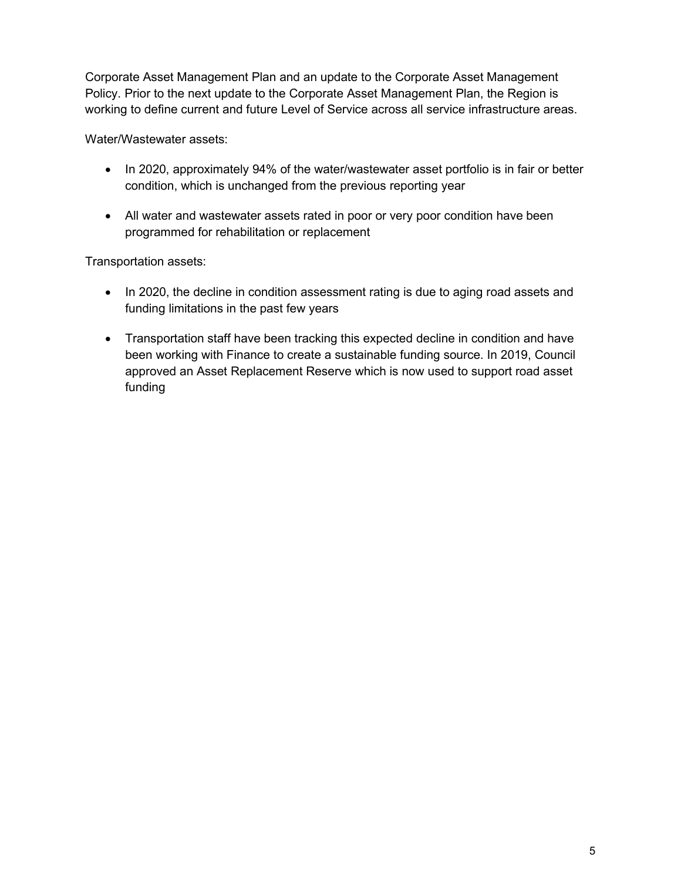Corporate Asset Management Plan and an update to the Corporate Asset Management Policy. Prior to the next update to the Corporate Asset Management Plan, the Region is working to define current and future Level of Service across all service infrastructure areas.

Water/Wastewater assets:

- In 2020, approximately 94% of the water/wastewater asset portfolio is in fair or better condition, which is unchanged from the previous reporting year
- All water and wastewater assets rated in poor or very poor condition have been programmed for rehabilitation or replacement

Transportation assets:

- In 2020, the decline in condition assessment rating is due to aging road assets and funding limitations in the past few years
- Transportation staff have been tracking this expected decline in condition and have been working with Finance to create a sustainable funding source. In 2019, Council approved an Asset Replacement Reserve which is now used to support road asset funding